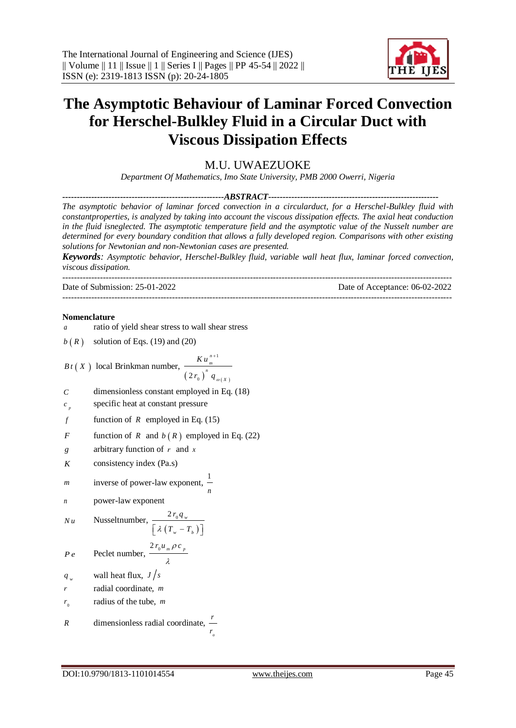---------------------------------------------------------------------------------------------------------------------------------------



# **The Asymptotic Behaviour of Laminar Forced Convection for Herschel-Bulkley Fluid in a Circular Duct with Viscous Dissipation Effects**

## M.U. UWAEZUOKE

*Department Of Mathematics, Imo State University, PMB 2000 Owerri, Nigeria*

*--------------------------------------------------------ABSTRACT-----------------------------------------------------------*

*The asymptotic behavior of laminar forced convection in a circularduct, for a Herschel-Bulkley fluid with constantproperties, is analyzed by taking into account the viscous dissipation effects. The axial heat conduction in the fluid isneglected. The asymptotic temperature field and the asymptotic value of the Nusselt number are determined for every boundary condition that allows a fully developed region. Comparisons with other existing solutions for Newtonian and non-Newtonian cases are presented.*

*Keywords: Asymptotic behavior, Herschel-Bulkley fluid, variable wall heat flux, laminar forced convection, viscous dissipation.*

---------------------------------------------------------------------------------------------------------------------------------------

Date of Submission: 25-01-2022 Date of Acceptance: 06-02-2022

### **Nomenclature**

*a* ratio of yield shear stress to wall shear stress  $b(R)$ solution of Eqs. (19) and (20) *B t X* local Brinkman number,  $(2r_{0})$   $q_{\omega(X)}$ 1  $2r_0$ *n m n X K u*  $r_{\rm o}$ )  $q_{\rm o}$  $\ddot{}$ *C* dimensionless constant employed in Eq. (18) *p c* specific heat at constant pressure *f* function of  $R$  employed in Eq. (15) *F* function of  $R$  and  $b(R)$  employed in Eq. (22) *g* arbitrary function of *r* and *x K* consistency index (Pa.s) *m* inverse of power-law exponent, 1 *n n* power-law exponent *Nu* Nusseltnumber,  $2 r_0 q_w$  $r_0 q$ 

$$
\left[ \frac{\lambda (T_w - T_b)}{2r_0 u_w \rho c_w} \right]
$$

$$
Pe \qquad \text{Peclet number, } \frac{2 r_0 u_m \rho c_p}{\lambda}
$$

*w q* wall heat flux,  $J/s$ 

- *r* radial coordinate, *m*
- $r_{\scriptscriptstyle 0}$ radius of the tube, *m*

R dimensionless radial coordinate, 
$$
\frac{r}{r_o}
$$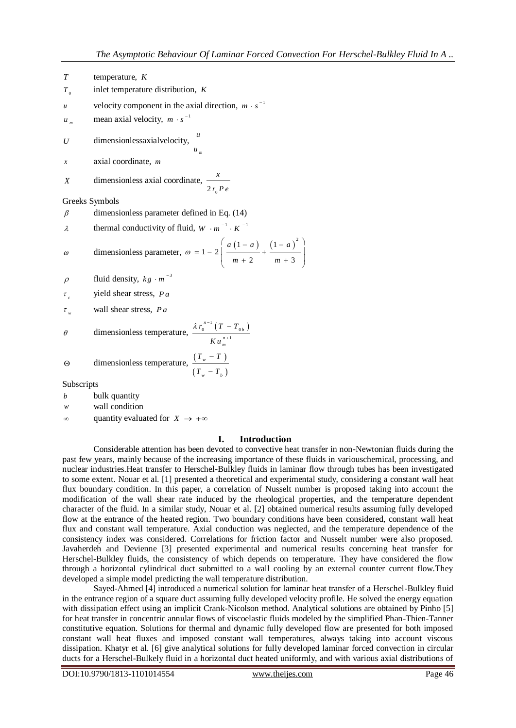- *T* temperature, *K*
- $T_{\scriptscriptstyle 0}$ inlet temperature distribution, *K*
- *u* velocity component in the axial direction,  $m \cdot s^{-1}$

*m u* mean axial velocity,  $m \cdot s^{-1}$ 

- *U* dimensionlessaxialvelocity, *u*
- *x* axial coordinate, *m*

X dimensionless axial coordinate, 
$$
\frac{x}{2 r_0 P e}
$$

Greeks Symbols

- $\beta$ dimensionless parameter defined in Eq. (14)
- $\lambda$ thermal conductivity of fluid,  $W \cdot m^{-1} \cdot K^{-1}$

$$
\omega
$$
 dimensionless parameter,  $\omega = 1 - 2 \left( \frac{a (1 - a)}{m + 2} + \frac{(1 - a)^2}{m + 3} \right)$ 

*m*

*u*

- $\rho$ fluid density,  $kg \cdot m^{-3}$
- $\tau$ <sub>c</sub> yield shear stress, *Pa*
- $\tau_{w}$ wall shear stress, *Pa*

$$
\theta \qquad \text{dimensionless temperature, } \frac{\lambda r_0^{n-1} (T - T_{0b})}{K u_m^{n+1}}
$$

$$
\Theta \qquad \text{dimensionless temperature, } \frac{(T_w - T)}{(T_w - T_b)}
$$

Subscripts

- *b* bulk quantity
- *w* wall condition
- $\infty$ quantity evaluated for  $X \to +\infty$

## **I. Introduction**

Considerable attention has been devoted to convective heat transfer in non-Newtonian fluids during the past few years, mainly because of the increasing importance of these fluids in variouschemical, processing, and nuclear industries.Heat transfer to Herschel-Bulkley fluids in laminar flow through tubes has been investigated to some extent. Nouar et al. [1] presented a theoretical and experimental study, considering a constant wall heat flux boundary condition. In this paper, a correlation of Nusselt number is proposed taking into account the modification of the wall shear rate induced by the rheological properties, and the temperature dependent character of the fluid. In a similar study, Nouar et al. [2] obtained numerical results assuming fully developed flow at the entrance of the heated region. Two boundary conditions have been considered, constant wall heat flux and constant wall temperature. Axial conduction was neglected, and the temperature dependence of the consistency index was considered. Correlations for friction factor and Nusselt number were also proposed. Javaherdeh and Devienne [3] presented experimental and numerical results concerning heat transfer for Herschel-Bulkley fluids, the consistency of which depends on temperature. They have considered the flow through a horizontal cylindrical duct submitted to a wall cooling by an external counter current flow.They developed a simple model predicting the wall temperature distribution.

Sayed-Ahmed [4] introduced a numerical solution for laminar heat transfer of a Herschel-Bulkley fluid in the entrance region of a square duct assuming fully developed velocity profile. He solved the energy equation with dissipation effect using an implicit Crank-Nicolson method. Analytical solutions are obtained by Pinho [5] for heat transfer in concentric annular flows of viscoelastic fluids modeled by the simplified Phan-Thien-Tanner constitutive equation. Solutions for thermal and dynamic fully developed flow are presented for both imposed constant wall heat fluxes and imposed constant wall temperatures, always taking into account viscous dissipation. Khatyr et al. [6] give analytical solutions for fully developed laminar forced convection in circular ducts for a Herschel-Bulkely fluid in a horizontal duct heated uniformly, and with various axial distributions of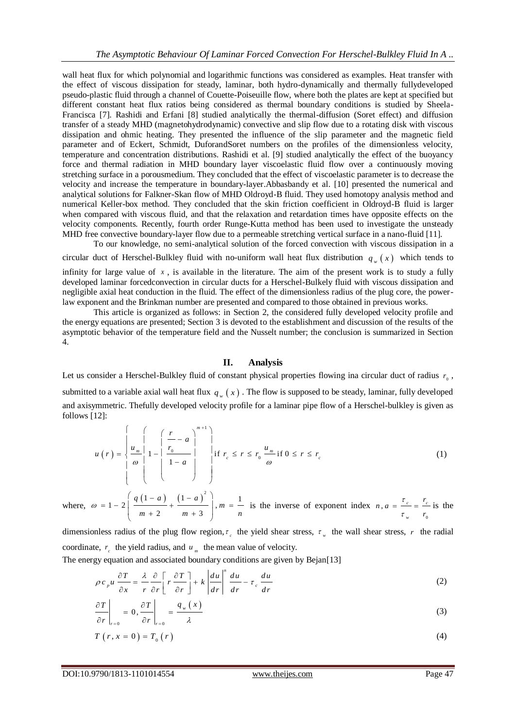wall heat flux for which polynomial and logarithmic functions was considered as examples. Heat transfer with the effect of viscous dissipation for steady, laminar, both hydro-dynamically and thermally fullydeveloped pseudo-plastic fluid through a channel of Couette-Poiseuille flow, where both the plates are kept at specified but different constant heat flux ratios being considered as thermal boundary conditions is studied by Sheela-Francisca [7]. Rashidi and Erfani [8] studied analytically the thermal-diffusion (Soret effect) and diffusion transfer of a steady MHD (magnetohydrodynamic) convective and slip flow due to a rotating disk with viscous dissipation and ohmic heating. They presented the influence of the slip parameter and the magnetic field parameter and of Eckert, Schmidt, DuforandSoret numbers on the profiles of the dimensionless velocity, temperature and concentration distributions. Rashidi et al. [9] studied analytically the effect of the buoyancy force and thermal radiation in MHD boundary layer viscoelastic fluid flow over a continuously moving stretching surface in a porousmedium. They concluded that the effect of viscoelastic parameter is to decrease the velocity and increase the temperature in boundary-layer.Abbasbandy et al. [10] presented the numerical and analytical solutions for Falkner-Skan flow of MHD Oldroyd-B fluid. They used homotopy analysis method and numerical Keller-box method. They concluded that the skin friction coefficient in Oldroyd-B fluid is larger when compared with viscous fluid, and that the relaxation and retardation times have opposite effects on the velocity components. Recently, fourth order Runge-Kutta method has been used to investigate the unsteady MHD free convective boundary-layer flow due to a permeable stretching vertical surface in a nano-fluid [11].

To our knowledge, no semi-analytical solution of the forced convection with viscous dissipation in a

circular duct of Herschel-Bulkley fluid with no-uniform wall heat flux distribution  $q_{w}(x)$  which tends to

infinity for large value of  $x$ , is available in the literature. The aim of the present work is to study a fully developed laminar forcedconvection in circular ducts for a Herschel-Bulkely fluid with viscous dissipation and negligible axial heat conduction in the fluid. The effect of the dimensionless radius of the plug core, the powerlaw exponent and the Brinkman number are presented and compared to those obtained in previous works.

This article is organized as follows: in Section 2, the considered fully developed velocity profile and the energy equations are presented; Section 3 is devoted to the establishment and discussion of the results of the asymptotic behavior of the temperature field and the Nusselt number; the conclusion is summarized in Section 4.

## **II. Analysis**

Let us consider a Herschel-Bulkley fluid of constant physical properties flowing ina circular duct of radius  $r_0$ , submitted to a variable axial wall heat flux  $q_{w}(x)$ . The flow is supposed to be steady, laminar, fully developed and axisymmetric. Thefully developed velocity profile for a laminar pipe flow of a Herschel-bulkley is given as follows [12]:

$$
u(r) = \begin{cases} \frac{u}{\omega} \left( \frac{r}{1-a} \right)^{m+1} \\ \frac{u_m}{\omega} \left( 1 - \left( \frac{r}{1-a} \right)^{m+1} \right) \\ \frac{1}{1-a} \end{cases} \quad \text{if } r_c \le r \le r_0 \frac{u_m}{\omega} \text{ if } 0 \le r \le r_c \tag{1}
$$

where,  $\omega = 1 - 2 \left[ \frac{q(1-a)}{1-a} + \frac{(1-a)^2}{1-a} \right]$ ,  $m = \frac{1}{2}$  $1 - 2\left(\frac{q(1-a)}{a} + \frac{(1-a)^2}{a}\right),$  $\frac{2}{2} + \frac{2}{m+3}$  $\omega = 1 - 2 \left( \frac{q(1-a)}{m+2} + \frac{(1-a)^2}{m+3} \right), m = \frac{1}{n}$  $= 1 - 2\left(\frac{q(1-a)}{m+2} + \frac{(1-a)^2}{m+3}\right), m = \frac{1}{n}$ is the inverse of exponent index  $\mathbf 0$  $a = \frac{c}{c} = \frac{c}{c}$ *w n*,  $a = \frac{\tau_c}{\tau} = \frac{r}{\tau}$ *r* τ  $=\frac{c}{\tau}=\frac{c}{r_{s}}$  is the

dimensionless radius of the plug flow region,  $\tau_c$  the yield shear stress,  $\tau_w$  the wall shear stress, r the radial coordinate,  $r_c$  the yield radius, and  $u_m$  the mean value of velocity.

The energy equation and associated boundary conditions are given by Bejan[13]  
\n
$$
\rho c_{\rho} u \frac{\partial T}{\partial x} = \frac{\lambda}{r} \frac{\partial}{\partial r} \left[ r \frac{\partial T}{\partial r} \right] + k \left| \frac{du}{dr} \right|^{n} \frac{du}{dr} - \tau_{c} \frac{du}{dr}
$$
\n(2)

$$
\left. \frac{\partial T}{\partial r} \right|_{r=0} = 0, \left. \frac{\partial T}{\partial r} \right|_{r=0} = \frac{q_{w}(x)}{\lambda}
$$
\n(3)

$$
T(r, x = 0) = T_0(r)
$$
\n<sup>(4)</sup>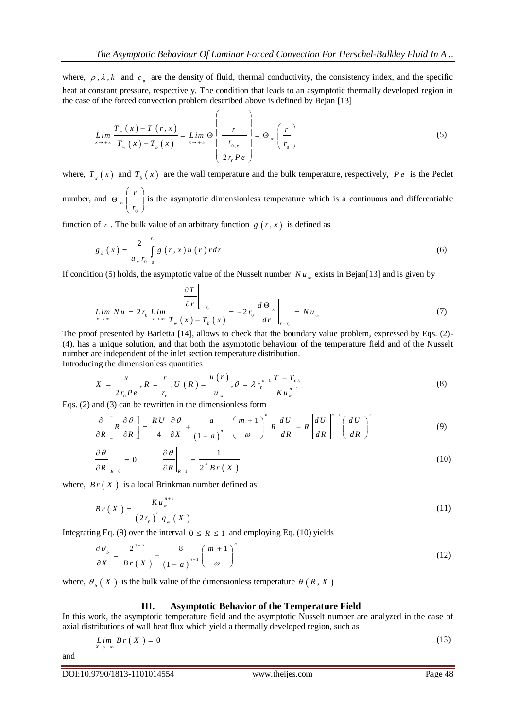where,  $\rho$ ,  $\lambda$ ,  $k$  and  $c_p$  are the density of fluid, thermal conductivity, the consistency index, and the specific heat at constant pressure, respectively. The condition that leads to an asymptotic thermally developed region in the case of the forced convection problem described above is defined by Bejan [13]

$$
Lim_{x \to +\infty} \frac{T_{w}(x) - T(r, x)}{T_{w}(x) - T_{b}(x)} = Lim_{x \to +\infty} \Theta \left( \frac{r}{\frac{r_{0,x}}{2r_{0}Pe}} \right) = \Theta_{\infty} \left( \frac{r}{r_{0}} \right)
$$
\n
$$
(5)
$$

where,  $T_{w}(x)$  and  $T_{b}(x)$  are the wall temperature and the bulk temperature, respectively,  $Pe$  is the Peclet number, and  $\Theta_{n}$   $\begin{bmatrix} r \\ -r \end{bmatrix}$  $\int r^{\infty}$  $(r)$  $\Theta_{\infty}$  |  $-$  |  $\langle r_{0} \rangle$ is the asymptotic dimensionless temperature which is a continuous and differentiable

function of r. The bulk value of an arbitrary function  $g(r, x)$  is defined as

 $\mathbf{0}$ 

$$
g_{b}\left(x\right) = \frac{2}{u_{m}r_{0}}\int_{0}^{r_{0}}g\left(r,x\right)u\left(r\right) r dr
$$
\n<sup>(6)</sup>

If condition (5) holds, the asymptotic value of the Nusselt number  $Nu_{\infty}$  exists in Bejan[13] and is given by

$$
\lim_{x \to \infty} Nu = 2r_0 \lim_{x \to \infty} \frac{\frac{\partial T}{\partial r}\Big|_{r=r_0}}{T_w(x) - T_b(x)} = -2r_0 \frac{d\Theta_{\infty}}{dr}\Big|_{r=r_0} = Nu_{\infty}
$$
\n(7)

The proof presented by Barletta [14], allows to check that the boundary value problem, expressed by Eqs. (2)- (4), has a unique solution, and that both the asymptotic behaviour of the temperature field and of the Nusselt number are independent of the inlet section temperature distribution.

Introducing the dimensionless quantities  
\n
$$
X = \frac{x}{2r_0 P e}, R = \frac{r}{r_0}, U(R) = \frac{u(r)}{u_m}, \theta = \lambda r_0^{n-1} \frac{T - T_{0b}}{K u_m^{n+1}}
$$
\n(8)

Eqs. (2) and (3) can be rewritten in the dimensionless form  
\n
$$
\frac{\partial}{\partial R} \left[ R \frac{\partial \theta}{\partial R} \right] = \frac{R U}{4} \frac{\partial \theta}{\partial X} + \frac{a}{(1-a)^{n+1}} \left( \frac{m+1}{\omega} \right)^n R \frac{dU}{dR} - R \left| \frac{dU}{dR} \right|^{n-1} \left( \frac{dU}{dR} \right)^2
$$
\n(9)

$$
\left.\frac{\partial\theta}{\partial R}\right|_{R=0} = 0 \qquad \left.\frac{\partial\theta}{\partial R}\right|_{R=1} = \frac{1}{2^n Br(X)}\tag{10}
$$

where,  $Br(X)$  is a local Brinkman number defined as:

$$
Br(X) = \frac{K u_m^{n+1}}{\left(2 r_0\right)^n q_\omega(X)}\tag{11}
$$

Integrating Eq. (9) over the interval  $0 \le R \le 1$  and employing Eq. (10) yields

$$
\frac{\partial \theta_{b}}{\partial X} = \frac{2^{3-n}}{Br(X)} + \frac{8}{(1-a)^{n+1}} \left(\frac{m+1}{\omega}\right)^{n}
$$
(12)

where,  $\theta_{\nu}(X)$  is the bulk value of the dimensionless temperature  $\theta(R, X)$ 

#### **III. Asymptotic Behavior of the Temperature Field**

In this work, the asymptotic temperature field and the asymptotic Nusselt number are analyzed in the case of axial distributions of wall heat flux which yield a thermally developed region, such as

$$
\lim_{X \to +\infty} Br(X) = 0 \tag{13}
$$

and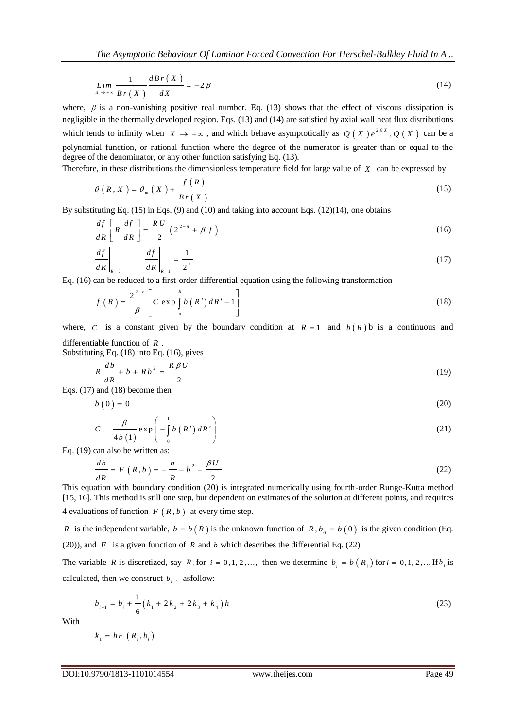$$
\lim_{X \to +\infty} \frac{1}{B r(X)} \frac{d B r(X)}{d X} = -2 \beta
$$
\n(14)

where,  $\beta$  is a non-vanishing positive real number. Eq. (13) shows that the effect of viscous dissipation is negligible in the thermally developed region. Eqs. (13) and (14) are satisfied by axial wall heat flux distributions which tends to infinity when  $X \to +\infty$ , and which behave asymptotically as  $Q(X)e^{2\beta X}$ ,  $Q(X)$  can be a polynomial function, or rational function where the degree of the numerator is greater than or equal to the degree of the denominator, or any other function satisfying Eq. (13).

Therefore, in these distributions the dimensionless temperature field for large value of *X* can be expressed by

$$
\theta(R, X) = \theta_m(X) + \frac{f(R)}{Br(X)}
$$
\n(15)

By substituting Eq. (15) in Eqs. (9) and (10) and taking into account Eqs. (12)(14), one obtains

$$
\frac{df}{dR} \left[ R \frac{df}{dR} \right] = \frac{RU}{2} \left( 2^{2-n} + \beta f \right)
$$
\n(16)

$$
\left. \frac{df}{dR} \right|_{R=0} = \left. \frac{df}{dR} \right|_{R=1} = \frac{1}{2^n} \tag{17}
$$

Eq. (16) can be reduced to a first-order differential equation using the following transformation  
\n
$$
f(R) = \frac{2^{2-n}}{\beta} \left[ C \exp \int_0^R b(R') dR' - 1 \right]
$$
\n(18)

where, *C* is a constant given by the boundary condition at  $R = 1$  and  $b(R)$  b is a continuous and differentiable function of *R* .

Substituting Eq. (18) into Eq. (16), gives

1

$$
R\frac{db}{dR} + b + Rb^2 = \frac{R\beta U}{2}
$$
 (19)

Eqs. (17) and (18) become then

$$
b(0) = 0 \tag{20}
$$

$$
C = \frac{\beta}{4b(1)} \exp\left(-\int_{0}^{1} b(R') dR'\right)
$$
 (21)

Eq. (19) can also be written as:

$$
\frac{db}{dR} = F(R, b) = -\frac{b}{R} - b^2 + \frac{\beta U}{2}
$$
\n(22)

This equation with boundary condition (20) is integrated numerically using fourth-order Runge-Kutta method [15, 16]. This method is still one step, but dependent on estimates of the solution at different points, and requires 4 evaluations of function  $F(R, b)$  at every time step.

*R* is the independent variable,  $b = b(R)$  is the unknown function of  $R$ ,  $b_0 = b(0)$  is the given condition (Eq. (20)), and  $F$  is a given function of  $R$  and  $b$  which describes the differential Eq. (22)

The variable R is discretized, say  $R_i$  for  $i = 0, 1, 2, ...$ , then we determine  $b_i = b(R_i)$  for  $i = 0, 1, 2, ...$  If  $b_i$  is calculated, then we construct  $b_{i+1}$  asfollow:

$$
b_{i+1} = b_i + \frac{1}{6} (k_1 + 2k_2 + 2k_3 + k_4) h
$$
 (23)

With

$$
k_{i} = hF\left(R_{i}, b_{i}\right)
$$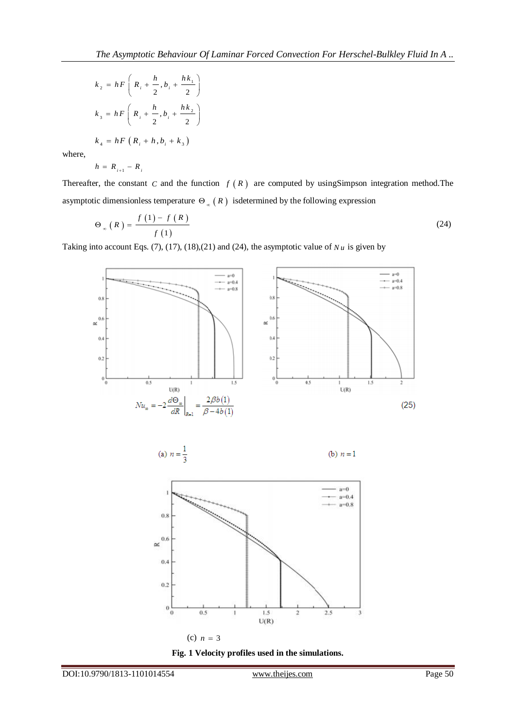$$
k_{2} = hF\left(R_{i} + \frac{h}{2}, b_{i} + \frac{hk_{1}}{2}\right)
$$
  

$$
k_{3} = hF\left(R_{i} + \frac{h}{2}, b_{i} + \frac{hk_{2}}{2}\right)
$$
  

$$
k_{4} = hF\left(R_{i} + h, b_{i} + k_{3}\right)
$$

where,

$$
h = R_{i+1} - R_i
$$

Thereafter, the constant C and the function  $f(R)$  are computed by using Simpson integration method. The asymptotic dimensionless temperature  $\Theta_{\infty}(R)$  isdetermined by the following expression

$$
\Theta_{\infty}(R) = \frac{f(1) - f(R)}{f(1)}\tag{24}
$$

Taking into account Eqs. (7), (17), (18), (21) and (24), the asymptotic value of  $Nu$  is given by







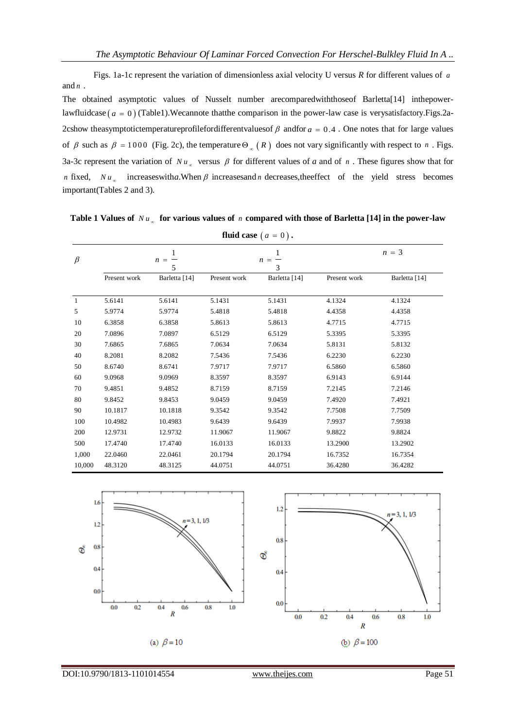Figs. 1a-1c represent the variation of dimensionless axial velocity U versus *R* for different values of *a* and *n* .

The obtained asymptotic values of Nusselt number arecomparedwiththoseof Barletta[14] inthepowerlawfluidcase (*a* = 0) (Table1). Wecannote that the comparison in the power-law case is verysatisfactory. Figs. 2a-2cshow theasymptotictemperatureprofilefordifferent values of  $\beta$  and for  $a = 0.4$ . One notes that for large values of  $\beta$  such as  $\beta = 1000$  (Fig. 2c), the temperature  $\Theta_{\infty}(R)$  does not vary significantly with respect to *n*. Figs. 3a-3c represent the variation of  $Nu_{\infty}$  versus  $\beta$  for different values of *a* and of *n*. These figures show that for *n* fixed,  $Nu_{\infty}$  increases with *a*. When  $\beta$  increases and *n* decreases, the effect of the yield stress becomes important(Tables 2 and 3).

|  | Table 1 Values of $Nu_{\infty}$ for various values of <i>n</i> compared with those of Barletta [14] in the power-law |
|--|----------------------------------------------------------------------------------------------------------------------|
|--|----------------------------------------------------------------------------------------------------------------------|

| fluid case $(a = 0)$ . |                   |               |              |                   |              |               |  |
|------------------------|-------------------|---------------|--------------|-------------------|--------------|---------------|--|
| $\beta$                | 1<br>$n = -$<br>5 |               |              | 1<br>$n = -$<br>3 |              | $n = 3$       |  |
|                        | Present work      | Barletta [14] | Present work | Barletta [14]     | Present work | Barletta [14] |  |
| 1                      | 5.6141            | 5.6141        | 5.1431       | 5.1431            | 4.1324       | 4.1324        |  |
| 5                      | 5.9774            | 5.9774        | 5.4818       | 5.4818            | 4.4358       | 4.4358        |  |
| 10                     | 6.3858            | 6.3858        | 5.8613       | 5.8613            | 4.7715       | 4.7715        |  |
| 20                     | 7.0896            | 7.0897        | 6.5129       | 6.5129            | 5.3395       | 5.3395        |  |
| 30                     | 7.6865            | 7.6865        | 7.0634       | 7.0634            | 5.8131       | 5.8132        |  |
| 40                     | 8.2081            | 8.2082        | 7.5436       | 7.5436            | 6.2230       | 6.2230        |  |
| 50                     | 8.6740            | 8.6741        | 7.9717       | 7.9717            | 6.5860       | 6.5860        |  |
| 60                     | 9.0968            | 9.0969        | 8.3597       | 8.3597            | 6.9143       | 6.9144        |  |
| 70                     | 9.4851            | 9.4852        | 8.7159       | 8.7159            | 7.2145       | 7.2146        |  |
| 80                     | 9.8452            | 9.8453        | 9.0459       | 9.0459            | 7.4920       | 7.4921        |  |
| 90                     | 10.1817           | 10.1818       | 9.3542       | 9.3542            | 7.7508       | 7.7509        |  |
| 100                    | 10.4982           | 10.4983       | 9.6439       | 9.6439            | 7.9937       | 7.9938        |  |
| 200                    | 12.9731           | 12.9732       | 11.9067      | 11.9067           | 9.8822       | 9.8824        |  |
| 500                    | 17.4740           | 17.4740       | 16.0133      | 16.0133           | 13.2900      | 13.2902       |  |
| 1,000                  | 22.0460           | 22.0461       | 20.1794      | 20.1794           | 16.7352      | 16.7354       |  |
| 10,000                 | 48.3120           | 48.3125       | 44.0751      | 44.0751           | 36.4280      | 36.4282       |  |



DOI:10.9790/1813-1101014554 www.theijes.com Page 51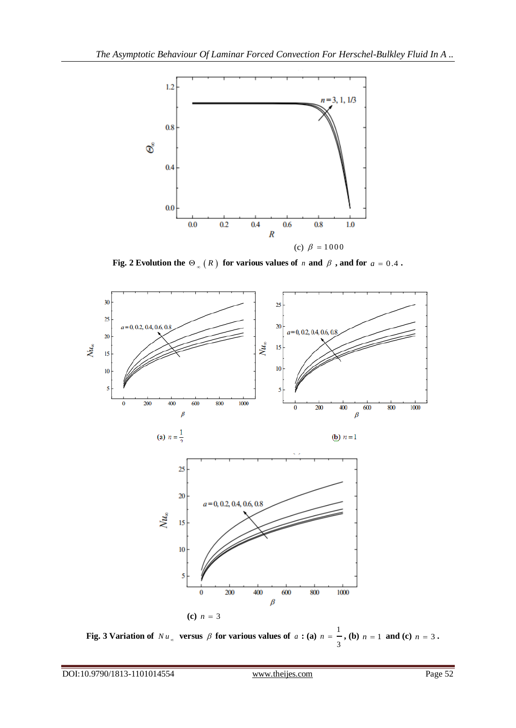

Fig. 2 Evolution the  $\Theta_{\infty}(R)$  for various values of *n* and  $\beta$  , and for  $a = 0.4$ .



**Fig. 3 Variation of**  $Nu_x$  versus  $\beta$  for various values of  $a:(a) n = \frac{1}{2}$ 3  $n = -$ , (**b**)  $n = 1$  **and (c)**  $n = 3$ .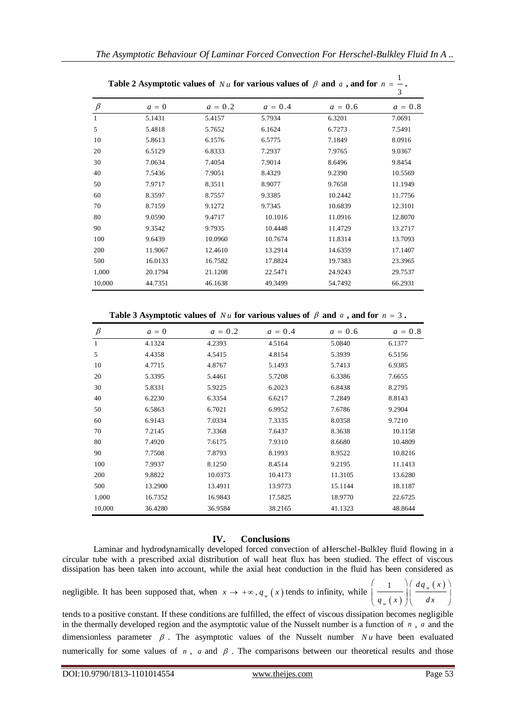|              | <b>Table 2</b> Asymptotic values of <i>IV a</i> for various values of $\rho$ and $\alpha$ , and for <i>n</i> |           |           |           | 3         |
|--------------|--------------------------------------------------------------------------------------------------------------|-----------|-----------|-----------|-----------|
| $\beta$      | $a = 0$                                                                                                      | $a = 0.2$ | $a = 0.4$ | $a = 0.6$ | $a = 0.8$ |
| $\mathbf{1}$ | 5.1431                                                                                                       | 5.4157    | 5.7934    | 6.3201    | 7.0691    |
| 5            | 5.4818                                                                                                       | 5.7652    | 6.1624    | 6.7273    | 7.5491    |
| 10           | 5.8613                                                                                                       | 6.1576    | 6.5775    | 7.1849    | 8.0916    |
| 20           | 6.5129                                                                                                       | 6.8333    | 7.2937    | 7.9765    | 9.0367    |
| 30           | 7.0634                                                                                                       | 7.4054    | 7.9014    | 8.6496    | 9.8454    |
| 40           | 7.5436                                                                                                       | 7.9051    | 8.4329    | 9.2390    | 10.5569   |
| 50           | 7.9717                                                                                                       | 8.3511    | 8.9077    | 9.7658    | 11.1949   |
| 60           | 8.3597                                                                                                       | 8.7557    | 9.3385    | 10.2442   | 11.7756   |
| 70           | 8.7159                                                                                                       | 9.1272    | 9.7345    | 10.6839   | 12.3101   |
| 80           | 9.0590                                                                                                       | 9.4717    | 10.1016   | 11.0916   | 12.8070   |
| 90           | 9.3542                                                                                                       | 9.7935    | 10.4448   | 11.4729   | 13.2717   |
| 100          | 9.6439                                                                                                       | 10.0960   | 10.7674   | 11.8314   | 13.7093   |
| 200          | 11.9067                                                                                                      | 12.4610   | 13.2914   | 14.6359   | 17.1407   |
| 500          | 16.0133                                                                                                      | 16.7582   | 17.8824   | 19.7383   | 23.3965   |
| 1,000        | 20.1794                                                                                                      | 21.1208   | 22.5471   | 24.9243   | 29.7537   |
| 10,000       | 44.7351                                                                                                      | 46.1638   | 49.3499   | 54.7492   | 66.2931   |

| Table 2 Asymptotic values of Nu for various values of $\beta$ and a, and for $n = -1$ . |  |  |
|-----------------------------------------------------------------------------------------|--|--|

**Table 3 Asymptotic values of**  $Nu$  for various values of  $\beta$  and  $a$ , and for  $n = 3$ .

| $\beta$ | $a = 0$ | $a = 0.2$ | $a = 0.4$ | $a = 0.6$ | $a = 0.8$ |
|---------|---------|-----------|-----------|-----------|-----------|
| 1       | 4.1324  | 4.2393    | 4.5164    | 5.0840    | 6.1377    |
| 5       | 4.4358  | 4.5415    | 4.8154    | 5.3939    | 6.5156    |
| 10      | 4.7715  | 4.8767    | 5.1493    | 5.7413    | 6.9385    |
| 20      | 5.3395  | 5.4461    | 5.7208    | 6.3386    | 7.6655    |
| 30      | 5.8331  | 5.9225    | 6.2023    | 6.8438    | 8.2795    |
| 40      | 6.2230  | 6.3354    | 6.6217    | 7.2849    | 8.8143    |
| 50      | 6.5863  | 6.7021    | 6.9952    | 7.6786    | 9.2904    |
| 60      | 6.9143  | 7.0334    | 7.3335    | 8.0358    | 9.7210    |
| 70      | 7.2145  | 7.3368    | 7.6437    | 8.3638    | 10.1158   |
| 80      | 7.4920  | 7.6175    | 7.9310    | 8.6680    | 10.4809   |
| 90      | 7.7508  | 7.8793    | 8.1993    | 8.9522    | 10.8216   |
| 100     | 7.9937  | 8.1250    | 8.4514    | 9.2195    | 11.1413   |
| 200     | 9.8822  | 10.0373   | 10.4173   | 11.3105   | 13.6280   |
| 500     | 13.2900 | 13.4911   | 13.9773   | 15.1144   | 18.1187   |
| 1,000   | 16.7352 | 16.9843   | 17.5825   | 18.9770   | 22.6725   |
| 10,000  | 36.4280 | 36.9584   | 38.2165   | 41.1323   | 48.8644   |

## **IV. Conclusions**

Laminar and hydrodynamically developed forced convection of aHerschel-Bulkley fluid flowing in a circular tube with a prescribed axial distribution of wall heat flux has been studied. The effect of viscous dissipation has been taken into account, while the axial heat conduction in the fluid has been considered as

negligible. It has been supposed that, when  $x \to +\infty$ ,  $q_{w}(x)$  tends to infinity, while

 $(x)$ 1  $\int d q_w(x)$ *w*  $dq_{w}$  (x  $q_{\scriptscriptstyle w}(x)$   $\Big| \Big|$  *dx*  $\begin{pmatrix} 1 \end{pmatrix}$   $\begin{pmatrix} dq_w(x) \end{pmatrix}$  $\left(\frac{1}{q_{w}(x)}\right)\left(\frac{-q_{w}(x)}{dx}\right)$ 

tends to a positive constant. If these conditions are fulfilled, the effect of viscous dissipation becomes negligible in the thermally developed region and the asymptotic value of the Nusselt number is a function of *n* , *a* and the dimensionless parameter  $\beta$ . The asymptotic values of the Nusselt number  $Nu$  have been evaluated numerically for some values of  $n$ ,  $a$  and  $\beta$ . The comparisons between our theoretical results and those